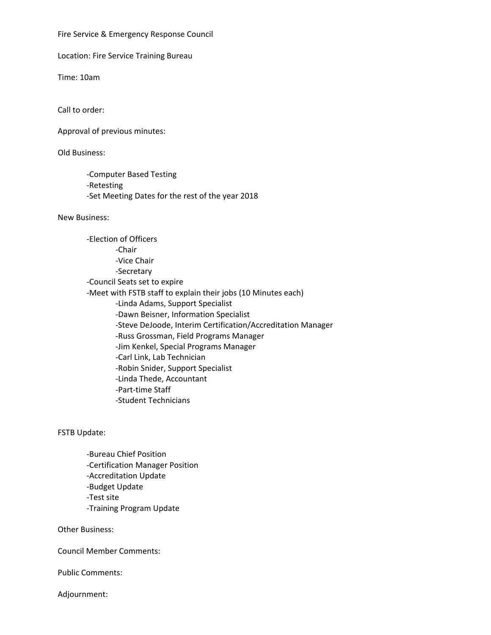Fire Service & Emergency Response Council

Location: Fire Service Training Bureau

Time: 10am

Call to order:

Approval of previous minutes:

Old Business:

-Computer Based Testing -Retesting -Set Meeting Dates for the rest of the year 2018

New Business:

-Election of Officers -Chair -Vice Chair -Secretary -Council Seats set to expire -Meet with FSTB staff to explain their jobs (10 Minutes each) -Linda Adams, Support Specialist -Dawn Beisner, Information Specialist -Steve DeJoode, Interim Certification/Accreditation Manager -Russ Grossman, Field Programs Manager -Jim Kenkel, Special Programs Manager -Carl Link, Lab Technician -Robin Snider, Support Specialist -Linda Thede, Accountant -Part-time Staff -Student Technicians

FSTB Update:

-Bureau Chief Position -Certification Manager Position -Accreditation Update -Budget Update -Test site -Training Program Update

Other Business:

Council Member Comments:

Public Comments:

Adjournment: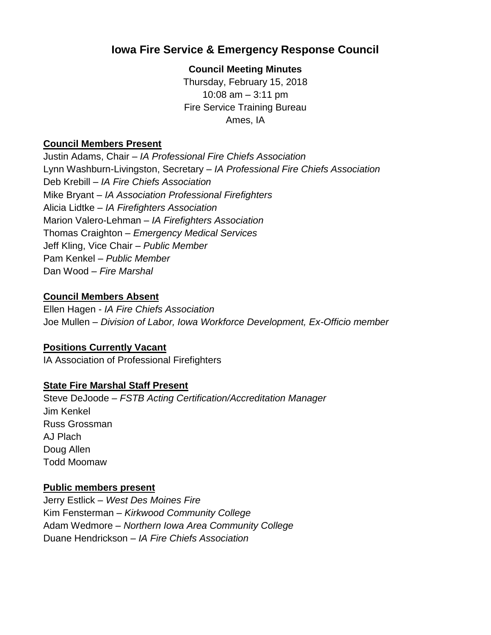# **Iowa Fire Service & Emergency Response Council**

### **Council Meeting Minutes**

Thursday, February 15, 2018 10:08 am – 3:11 pm Fire Service Training Bureau Ames, IA

#### **Council Members Present**

Justin Adams, Chair – *IA Professional Fire Chiefs Association* Lynn Washburn-Livingston, Secretary – *IA Professional Fire Chiefs Association* Deb Krebill – *IA Fire Chiefs Association* Mike Bryant – *IA Association Professional Firefighters* Alicia Lidtke – *IA Firefighters Association* Marion Valero-Lehman – *IA Firefighters Association* Thomas Craighton – *Emergency Medical Services* Jeff Kling, Vice Chair – *Public Member* Pam Kenkel – *Public Member* Dan Wood – *Fire Marshal*

#### **Council Members Absent**

Ellen Hagen - *IA Fire Chiefs Association* Joe Mullen – *Division of Labor, Iowa Workforce Development, Ex-Officio member*

## **Positions Currently Vacant**

IA Association of Professional Firefighters

## **State Fire Marshal Staff Present**

Steve DeJoode – *FSTB Acting Certification/Accreditation Manager* Jim Kenkel Russ Grossman AJ Plach Doug Allen Todd Moomaw

#### **Public members present**

Jerry Estlick – *West Des Moines Fire* Kim Fensterman – *Kirkwood Community College* Adam Wedmore *– Northern Iowa Area Community College* Duane Hendrickson *– IA Fire Chiefs Association*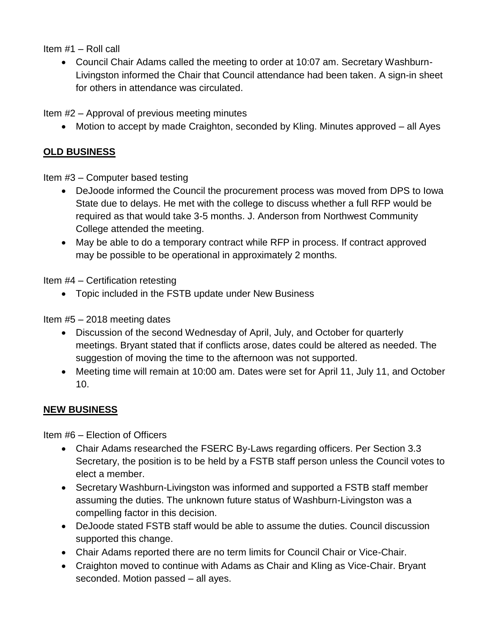Item #1 – Roll call

 Council Chair Adams called the meeting to order at 10:07 am. Secretary Washburn-Livingston informed the Chair that Council attendance had been taken. A sign-in sheet for others in attendance was circulated.

Item #2 – Approval of previous meeting minutes

• Motion to accept by made Craighton, seconded by Kling. Minutes approved – all Ayes

## **OLD BUSINESS**

Item #3 – Computer based testing

- DeJoode informed the Council the procurement process was moved from DPS to Iowa State due to delays. He met with the college to discuss whether a full RFP would be required as that would take 3-5 months. J. Anderson from Northwest Community College attended the meeting.
- May be able to do a temporary contract while RFP in process. If contract approved may be possible to be operational in approximately 2 months.

Item #4 – Certification retesting

• Topic included in the FSTB update under New Business

Item #5 – 2018 meeting dates

- Discussion of the second Wednesday of April, July, and October for quarterly meetings. Bryant stated that if conflicts arose, dates could be altered as needed. The suggestion of moving the time to the afternoon was not supported.
- Meeting time will remain at 10:00 am. Dates were set for April 11, July 11, and October 10.

## **NEW BUSINESS**

Item #6 – Election of Officers

- Chair Adams researched the FSERC By-Laws regarding officers. Per Section 3.3 Secretary, the position is to be held by a FSTB staff person unless the Council votes to elect a member.
- Secretary Washburn-Livingston was informed and supported a FSTB staff member assuming the duties. The unknown future status of Washburn-Livingston was a compelling factor in this decision.
- DeJoode stated FSTB staff would be able to assume the duties. Council discussion supported this change.
- Chair Adams reported there are no term limits for Council Chair or Vice-Chair.
- Craighton moved to continue with Adams as Chair and Kling as Vice-Chair. Bryant seconded. Motion passed – all ayes.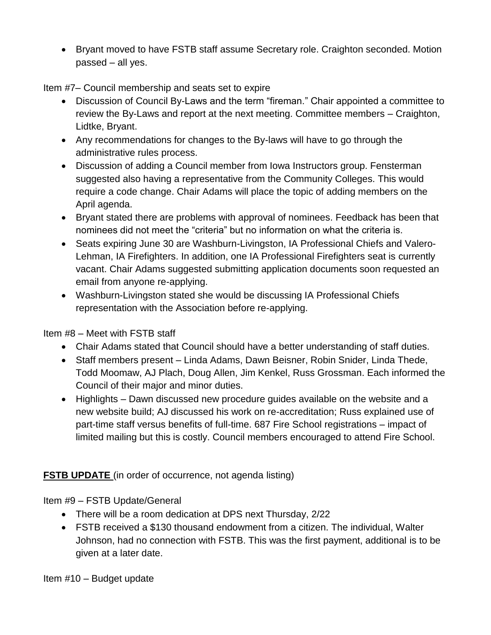Bryant moved to have FSTB staff assume Secretary role. Craighton seconded. Motion passed – all yes.

Item #7– Council membership and seats set to expire

- Discussion of Council By-Laws and the term "fireman." Chair appointed a committee to review the By-Laws and report at the next meeting. Committee members – Craighton, Lidtke, Bryant.
- Any recommendations for changes to the By-laws will have to go through the administrative rules process.
- Discussion of adding a Council member from Iowa Instructors group. Fensterman suggested also having a representative from the Community Colleges. This would require a code change. Chair Adams will place the topic of adding members on the April agenda.
- Bryant stated there are problems with approval of nominees. Feedback has been that nominees did not meet the "criteria" but no information on what the criteria is.
- Seats expiring June 30 are Washburn-Livingston, IA Professional Chiefs and Valero-Lehman, IA Firefighters. In addition, one IA Professional Firefighters seat is currently vacant. Chair Adams suggested submitting application documents soon requested an email from anyone re-applying.
- Washburn-Livingston stated she would be discussing IA Professional Chiefs representation with the Association before re-applying.

Item #8 – Meet with FSTB staff

- Chair Adams stated that Council should have a better understanding of staff duties.
- Staff members present Linda Adams, Dawn Beisner, Robin Snider, Linda Thede, Todd Moomaw, AJ Plach, Doug Allen, Jim Kenkel, Russ Grossman. Each informed the Council of their major and minor duties.
- Highlights Dawn discussed new procedure guides available on the website and a new website build; AJ discussed his work on re-accreditation; Russ explained use of part-time staff versus benefits of full-time. 687 Fire School registrations – impact of limited mailing but this is costly. Council members encouraged to attend Fire School.

## **FSTB UPDATE** (in order of occurrence, not agenda listing)

Item #9 – FSTB Update/General

- There will be a room dedication at DPS next Thursday, 2/22
- FSTB received a \$130 thousand endowment from a citizen. The individual, Walter Johnson, had no connection with FSTB. This was the first payment, additional is to be given at a later date.

Item #10 – Budget update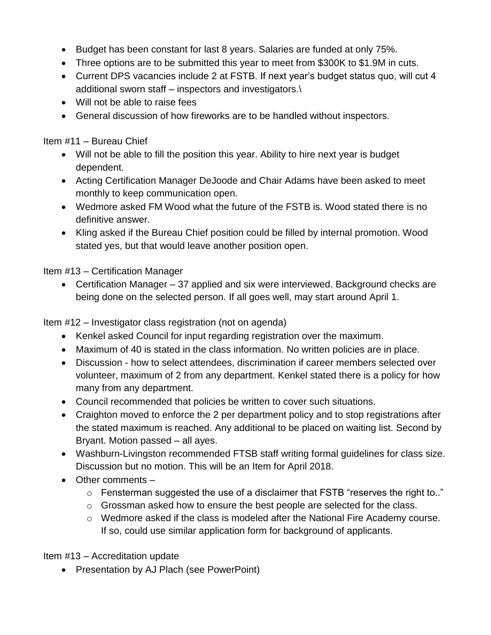- Budget has been constant for last 8 years. Salaries are funded at only 75%.
- Three options are to be submitted this year to meet from \$300K to \$1.9M in cuts.
- Current DPS vacancies include 2 at FSTB. If next year's budget status quo, will cut 4 additional sworn staff – inspectors and investigators.\
- Will not be able to raise fees
- General discussion of how fireworks are to be handled without inspectors.

Item #11 – Bureau Chief

- Will not be able to fill the position this year. Ability to hire next year is budget dependent.
- Acting Certification Manager DeJoode and Chair Adams have been asked to meet monthly to keep communication open.
- Wedmore asked FM Wood what the future of the FSTB is. Wood stated there is no definitive answer.
- Kling asked if the Bureau Chief position could be filled by internal promotion. Wood stated yes, but that would leave another position open.

Item #13 – Certification Manager

• Certification Manager – 37 applied and six were interviewed. Background checks are being done on the selected person. If all goes well, may start around April 1.

Item #12 – Investigator class registration (not on agenda)

- Kenkel asked Council for input regarding registration over the maximum.
- Maximum of 40 is stated in the class information. No written policies are in place.
- Discussion how to select attendees, discrimination if career members selected over volunteer, maximum of 2 from any department. Kenkel stated there is a policy for how many from any department.
- Council recommended that policies be written to cover such situations.
- Craighton moved to enforce the 2 per department policy and to stop registrations after the stated maximum is reached. Any additional to be placed on waiting list. Second by Bryant. Motion passed – all ayes.
- Washburn-Livingston recommended FTSB staff writing formal guidelines for class size. Discussion but no motion. This will be an Item for April 2018.
- Other comments
	- $\circ$  Fensterman suggested the use of a disclaimer that FSTB "reserves the right to.."
	- $\circ$  Grossman asked how to ensure the best people are selected for the class.
	- o Wedmore asked if the class is modeled after the National Fire Academy course. If so, could use similar application form for background of applicants.

Item #13 – Accreditation update

• Presentation by AJ Plach (see PowerPoint)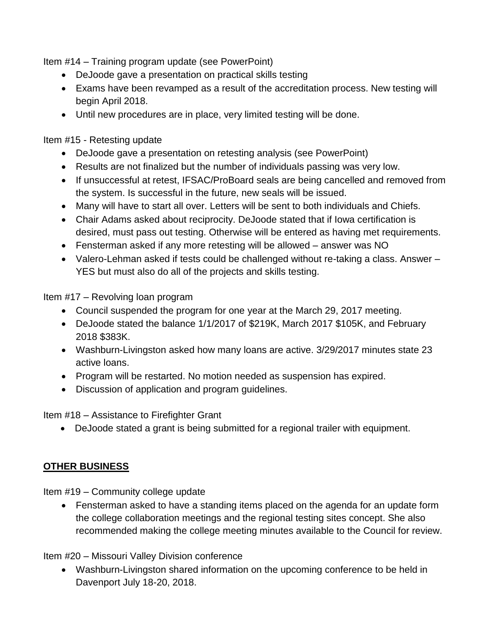Item #14 – Training program update (see PowerPoint)

- DeJoode gave a presentation on practical skills testing
- Exams have been revamped as a result of the accreditation process. New testing will begin April 2018.
- Until new procedures are in place, very limited testing will be done.

Item #15 - Retesting update

- DeJoode gave a presentation on retesting analysis (see PowerPoint)
- Results are not finalized but the number of individuals passing was very low.
- If unsuccessful at retest, IFSAC/ProBoard seals are being cancelled and removed from the system. Is successful in the future, new seals will be issued.
- Many will have to start all over. Letters will be sent to both individuals and Chiefs.
- Chair Adams asked about reciprocity. DeJoode stated that if Iowa certification is desired, must pass out testing. Otherwise will be entered as having met requirements.
- Fensterman asked if any more retesting will be allowed answer was NO
- Valero-Lehman asked if tests could be challenged without re-taking a class. Answer YES but must also do all of the projects and skills testing.

Item #17 – Revolving loan program

- Council suspended the program for one year at the March 29, 2017 meeting.
- DeJoode stated the balance 1/1/2017 of \$219K, March 2017 \$105K, and February 2018 \$383K.
- Washburn-Livingston asked how many loans are active. 3/29/2017 minutes state 23 active loans.
- Program will be restarted. No motion needed as suspension has expired.
- Discussion of application and program guidelines.

Item #18 – Assistance to Firefighter Grant

DeJoode stated a grant is being submitted for a regional trailer with equipment.

# **OTHER BUSINESS**

Item #19 – Community college update

 Fensterman asked to have a standing items placed on the agenda for an update form the college collaboration meetings and the regional testing sites concept. She also recommended making the college meeting minutes available to the Council for review.

Item #20 – Missouri Valley Division conference

 Washburn-Livingston shared information on the upcoming conference to be held in Davenport July 18-20, 2018.